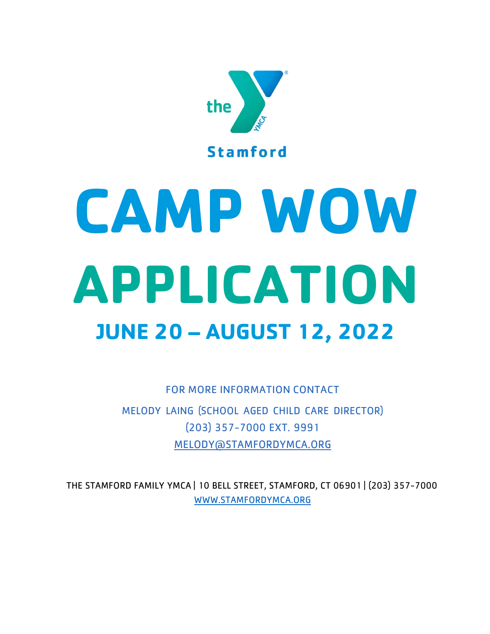

# **CAMP WOW APPLICATION JUNE 20 – AUGUST 12, 2022**

FOR MORE INFORMATION CONTACT MELODY LAING (SCHOOL AGED CHILD CARE DIRECTOR) (203) 357-7000 EXT. 9991 MELODY@STAMFORDYMCA.ORG

THE STAMFORD FAMILY YMCA | 10 BELL STREET, STAMFORD, CT 06901 | (203) 357-7000 WWW.STAMFORDYMCA.ORG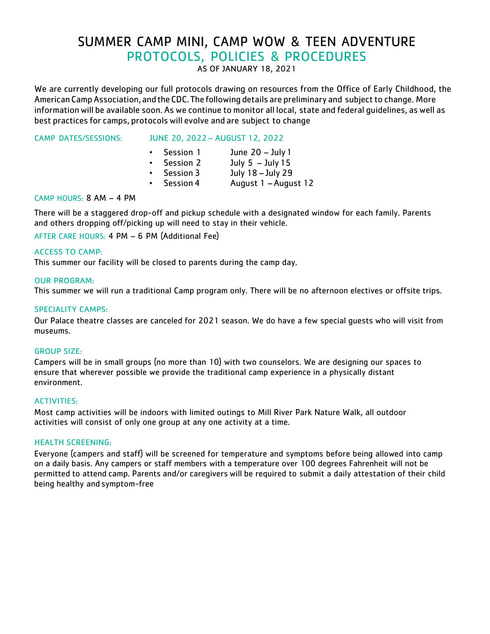## SUMMER CAMP MINI, CAMP WOW & TEEN ADVENTURE PROTOCOLS, POLICIES & PROCEDURES

AS OF JANUARY 18, 2021

We are currently developing our full protocols drawing on resources from the Office of Early Childhood, the American Camp Association, and the CDC. The following details are preliminary and subject to change. More information will be available soon. As we continue to monitor all local, state and federal guidelines, as well as best practices for camps, protocolswill evolve and are subject to change

CAMP DATES/SESSIONS: JUNE 20, 2022 – AUGUST 12, 2022

| $\bullet$ | Session 1        | June $20 -$ July 1   |
|-----------|------------------|----------------------|
| $\bullet$ | <b>Session 2</b> | July $5 -$ July 15   |
| $\bullet$ | <b>Session 3</b> | July 18 - July 29    |
| $\bullet$ | <b>Session 4</b> | August 1 - August 12 |

#### CAMP HOURS: 8 AM – 4 PM

There will be a staggered drop-off and pickup schedule with a designated window for each family. Parents and others dropping off/picking up will need to stay in their vehicle.

AFTER CARE HOURS: 4 PM – 6 PM (Additional Fee)

#### ACCESS TO CAMP:

This summer our facility will be closed to parents during the camp day.

#### OUR PROGRAM:

This summer we will run a traditional Camp program only. There will be no afternoon electives or offsite trips.

#### SPECIALITY CAMPS:

Our Palace theatre classes are canceled for 2021 season. We do have a few special guests who will visit from museums.

#### GROUP SIZE:

Campers will be in small groups (no more than 10) with two counselors. We are designing our spaces to ensure that wherever possible we provide the traditional camp experience in a physically distant environment.

#### ACTIVITIES:

Most camp activities will be indoors with limited outings to Mill River Park Nature Walk, all outdoor activities will consist of only one group at any one activity at a time.

#### HEALTH SCREENING:

Everyone (campers and staff) will be screened for temperature and symptoms before being allowed into camp on a daily basis. Any campers or staff members with a temperature over 100 degrees Fahrenheit will not be permitted to attend camp. Parents and/or caregivers will be required to submit a daily attestation of their child being healthy and symptom-free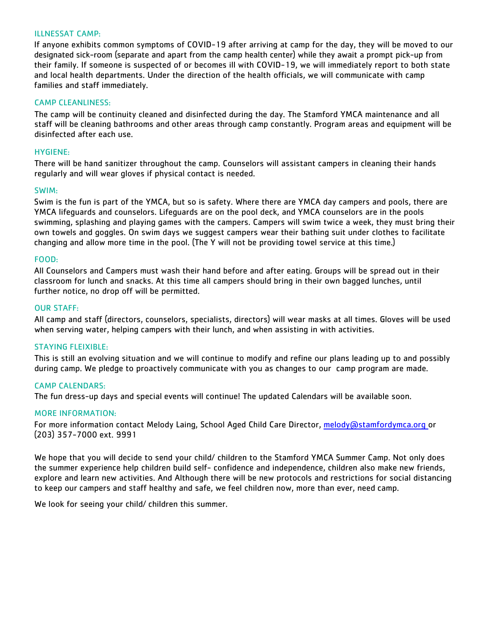#### ILLNESSAT CAMP:

If anyone exhibits common symptoms of COVID-19 after arriving at camp for the day, they will be moved to our designated sick-room (separate and apart from the camp health center) while they await a prompt pick-up from their family. If someone is suspected of or becomes ill with COVID-19, we will immediately report to both state and local health departments. Under the direction of the health officials, we will communicate with camp families and staff immediately.

#### CAMP CLEANLINESS:

The camp will be continuity cleaned and disinfected during the day. The Stamford YMCA maintenance and all staff will be cleaning bathrooms and other areas through camp constantly. Program areas and equipment will be disinfected after each use.

#### HYGIENE:

There will be hand sanitizer throughout the camp. Counselors will assistant campers in cleaning their hands regularly and will wear gloves if physical contact is needed.

#### SWIM:

Swim is the fun is part of the YMCA, but so is safety. Where there are YMCA day campers and pools, there are YMCA lifeguards and counselors. Lifeguards are on the pool deck, and YMCA counselors are in the pools swimming, splashing and playing games with the campers. Campers will swim twice a week, they must bring their own towels and goggles. On swim days we suggest campers wear their bathing suit under clothes to facilitate changing and allow more time in the pool. (The Y will not be providing towel service at this time.)

#### FOOD:

All Counselors and Campers must wash their hand before and after eating. Groups will be spread out in their classroom for lunch and snacks. At this time all campers should bring in their own bagged lunches, until further notice, no drop off will be permitted.

#### OUR STAFF:

All camp and staff (directors, counselors, specialists, directors) will wear masks at all times. Gloves will be used when serving water, helping campers with their lunch, and when assisting in with activities.

#### STAYING FLEIXIBLE:

This is still an evolving situation and we will continue to modify and refine our plans leading up to and possibly during camp. We pledge to proactively communicate with you as changes to our camp program are made.

#### CAMP CALENDARS:

The fun dress-up days and special events will continue! The updated Calendars will be available soon.

#### MORE INFORMATION:

For more information contact Melody Laing, School Aged Child Care Director, melody@stamfordymca.org or (203) 357-7000 ext. 9991

We hope that you will decide to send your child/ children to the Stamford YMCA Summer Camp. Not only does the summer experience help children build self- confidence and independence, children also make new friends, explore and learn new activities. And Although there will be new protocols and restrictions for social distancing to keep our campers and staff healthy and safe, we feel children now, more than ever, need camp.

We look for seeing your child/ children this summer.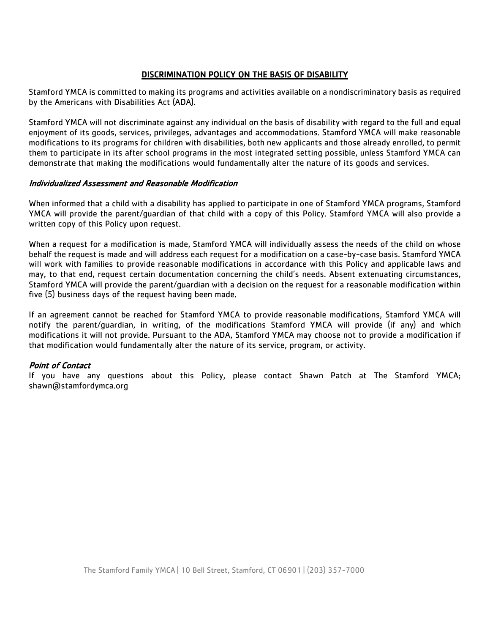#### DISCRIMINATION POLICY ON THE BASIS OF DISABILITY

Stamford YMCA is committed to making its programs and activities available on a nondiscriminatory basis as required by the Americans with Disabilities Act (ADA).

Stamford YMCA will not discriminate against any individual on the basis of disability with regard to the full and equal enjoyment of its goods, services, privileges, advantages and accommodations. Stamford YMCA will make reasonable modifications to its programs for children with disabilities, both new applicants and those already enrolled, to permit them to participate in its after school programs in the most integrated setting possible, unless Stamford YMCA can demonstrate that making the modifications would fundamentally alter the nature of its goods and services.

#### Individualized Assessment and Reasonable Modification

When informed that a child with a disability has applied to participate in one of Stamford YMCA programs, Stamford YMCA will provide the parent/guardian of that child with a copy of this Policy. Stamford YMCA will also provide a written copy of this Policy upon request.

When a request for a modification is made, Stamford YMCA will individually assess the needs of the child on whose behalf the request is made and will address each request for a modification on a case-by-case basis. Stamford YMCA will work with families to provide reasonable modifications in accordance with this Policy and applicable laws and may, to that end, request certain documentation concerning the child's needs. Absent extenuating circumstances, Stamford YMCA will provide the parent/guardian with a decision on the request for a reasonable modification within five (5) business days of the request having been made.

If an agreement cannot be reached for Stamford YMCA to provide reasonable modifications, Stamford YMCA will notify the parent/guardian, in writing, of the modifications Stamford YMCA will provide (if any) and which modifications it will not provide. Pursuant to the ADA, Stamford YMCA may choose not to provide a modification if that modification would fundamentally alter the nature of its service, program, or activity.

#### Point of Contact

If you have any questions about this Policy, please contact Shawn Patch at The Stamford YMCA; shawn@stamfordymca.org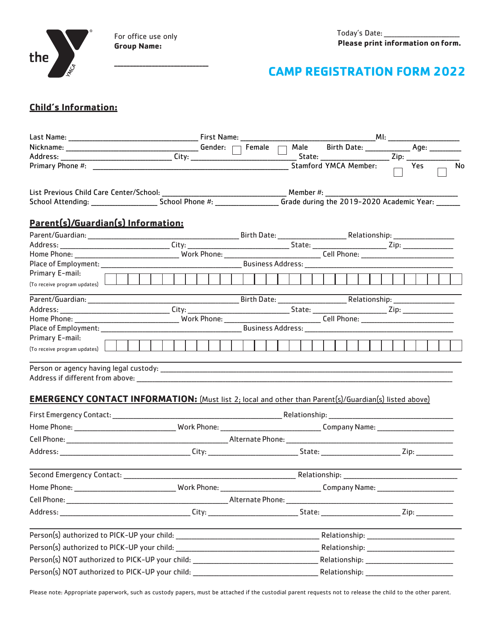

For office use only **Group Name:** 

# **CAMP REGISTRATION FORM 2022**

### **Child's Information:**

|                                                       |                                                                                                              | Stamford YMCA Member: $\qquad \qquad \overline{\qquad \qquad }$ Yes<br>N <sub>0</sub>                                                |
|-------------------------------------------------------|--------------------------------------------------------------------------------------------------------------|--------------------------------------------------------------------------------------------------------------------------------------|
|                                                       |                                                                                                              |                                                                                                                                      |
|                                                       |                                                                                                              | School Attending: __________________________School Phone #: ______________________ Grade during the 2019-2020 Academic Year: _______ |
| Parent(s)/Guardian(s) Information:                    |                                                                                                              |                                                                                                                                      |
|                                                       |                                                                                                              |                                                                                                                                      |
|                                                       |                                                                                                              |                                                                                                                                      |
|                                                       |                                                                                                              |                                                                                                                                      |
|                                                       |                                                                                                              |                                                                                                                                      |
| Primary E-mail:<br>$($ To receive program updates $)$ |                                                                                                              |                                                                                                                                      |
|                                                       | <u> 1989 - Johann Stein, mars an de Frankrik (f. 1989)</u>                                                   |                                                                                                                                      |
|                                                       |                                                                                                              |                                                                                                                                      |
|                                                       |                                                                                                              |                                                                                                                                      |
|                                                       |                                                                                                              |                                                                                                                                      |
| Primary E-mail:                                       |                                                                                                              |                                                                                                                                      |
| (To receive program updates) $\Box$                   |                                                                                                              |                                                                                                                                      |
|                                                       |                                                                                                              |                                                                                                                                      |
|                                                       | <b>EMERGENCY CONTACT INFORMATION:</b> (Must list 2; local and other than Parent(s)/Guardian(s) listed above) |                                                                                                                                      |
|                                                       |                                                                                                              |                                                                                                                                      |
|                                                       |                                                                                                              |                                                                                                                                      |
|                                                       |                                                                                                              |                                                                                                                                      |
|                                                       |                                                                                                              |                                                                                                                                      |
|                                                       |                                                                                                              |                                                                                                                                      |
|                                                       |                                                                                                              |                                                                                                                                      |
|                                                       |                                                                                                              |                                                                                                                                      |
|                                                       |                                                                                                              |                                                                                                                                      |
|                                                       |                                                                                                              |                                                                                                                                      |
|                                                       |                                                                                                              |                                                                                                                                      |
|                                                       | Person(s) NOT authorized to PICK-UP your child: ________________________________                             |                                                                                                                                      |
|                                                       | Person(s) NOT authorized to PICK-UP your child: ________________________________                             |                                                                                                                                      |

Please note: Appropriate paperwork, such as custody papers, must be attached if the custodial parent requests not to release the child to the other parent.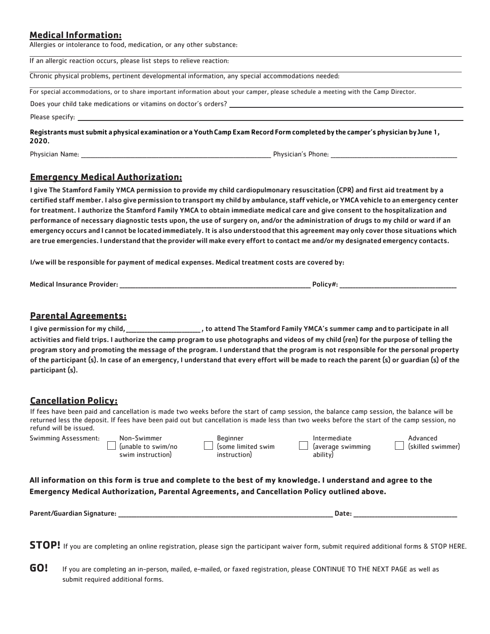#### **Medical Information:**

Allergies or intolerance to food, medication, or any other substance:

| If an allergic reaction occurs, please list steps to relieve reaction:                                                                  |
|-----------------------------------------------------------------------------------------------------------------------------------------|
| Chronic physical problems, pertinent developmental information, any special accommodations needed:                                      |
| For special accommodations, or to share important information about your camper, please schedule a meeting with the Camp Director.      |
| Does your child take medications or vitamins on doctor's orders?                                                                        |
|                                                                                                                                         |
| Registrants must submit a physical examination or a Youth Camp Exam Record Form completed by the camper's physician by June 1,<br>2020. |

| Dh <sub>v</sub><br>_______ | топе |
|----------------------------|------|
|                            |      |

#### **Emergency Medical Authorization:**

I give The Stamford Family YMCA permission to provide my child cardiopulmonary resuscitation (CPR) and first aid treatment by a certified staff member. I also give permission to transport my child by ambulance, staff vehicle,or YMCA vehicle to an emergency center for treatment. I authorize the Stamford Family YMCA to obtain immediate medical care and give consent to the hospitalization and performance of necessary diagnostic tests upon, the use of surgery on, and/or the administration of drugs to my child or ward if an emergencyoccurs and I cannot be located immediately. It is also understood that this agreement may only cover those situations which are true emergencies. I understand that the provider will make every effort to contact me and/or my designated emergency contacts.

I/we will be responsible for payment of medical expenses. Medical treatment costs are covered by:

Medical Insurance Provider: \_\_\_\_\_\_\_\_\_\_\_\_\_\_\_\_\_\_\_\_\_\_\_\_\_\_\_\_\_\_\_\_\_\_\_\_\_\_\_\_\_\_\_\_\_\_\_\_\_\_\_\_\_\_\_\_\_\_\_\_\_\_\_\_\_\_\_\_\_\_\_\_\_ Policy#: \_\_\_\_\_\_\_\_\_\_\_\_\_\_\_\_\_\_\_\_\_\_\_\_\_\_\_\_\_\_\_\_\_\_\_\_\_\_\_\_\_\_\_\_

#### **Parental Agreements:**

I give permission for my child, \_\_\_\_\_\_\_\_\_\_\_\_\_\_\_\_\_\_\_\_\_\_, to attend The Stamford Family YMCA's summer camp and to participate in all activities and field trips. I authorize the camp program to use photographs and videos of my child (ren) for the purpose of telling the program story and promoting the message of the program. I understand that the program is not responsible for the personal property of the participant (s). In case of an emergency, I understand that every effort will be made to reach the parent (s) or guardian (s) of the participant (s).

#### **Cancellation Policy:**

If fees have been paid and cancellation is made two weeks before the start of camp session, the balance camp session, the balance will be returned less the deposit. If fees have been paid out but cancellation is made less than two weeks before the start of the camp session, no refund will be issued.

| Swimming Assessment: | Non-Swimmer         | Beginner          | ntermediate       | Advancec          |
|----------------------|---------------------|-------------------|-------------------|-------------------|
|                      | 'lunable to swim/no | some limited swim | laverage swimming | (skilled swimmer) |
|                      | swim instruction    | instruction)      | ability           |                   |

**All information on this form is true and complete to the best of my knowledge. I understand and agree to the Emergency Medical Authorization, Parental Agreements, and Cancellation Policy outlined above.**

| Parent/Guardian Signature:<br>_ _ _ _ _ _ _ _ |                           | Jali |                    |
|-----------------------------------------------|---------------------------|------|--------------------|
|                                               | _________________________ |      | __________________ |
|                                               |                           |      |                    |

**STOP!** If you are completing an online registration, please sign the participant waiver form, submit required additional forms & STOP HERE.

**GO!** If you are completing an in-person, mailed, e-mailed, or faxed registration, please CONTINUE TO THE NEXT PAGE as well as submit required additional forms.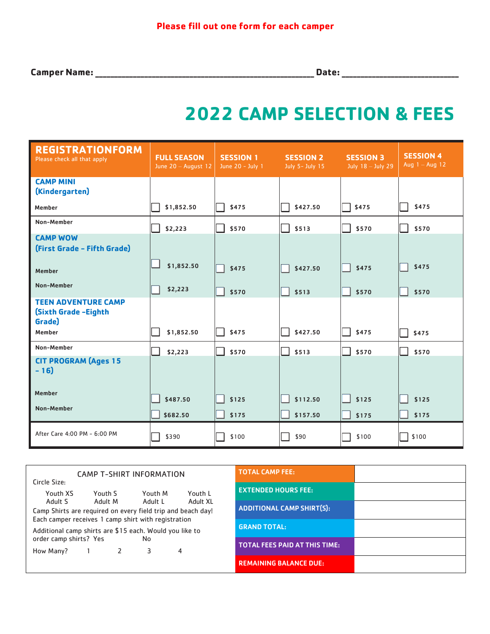**Camper Name:\_\_\_\_\_\_\_\_\_\_\_\_\_\_\_\_\_\_\_\_\_\_\_\_\_\_\_\_\_\_\_\_\_\_\_\_\_\_\_\_\_\_\_\_\_\_\_\_\_\_\_\_\_\_\_\_\_\_ Date:\_\_\_\_\_\_\_\_\_\_\_\_\_\_\_\_\_\_\_\_\_\_\_\_\_\_\_\_\_\_\_**

# **2022 CAMP SELECTION & FEES**

| <b>REGISTRATIONFORM</b><br>Please check all that apply              | <b>FULL SEASON</b><br>June 20 - August 12 | <b>SESSION 1</b><br>June 20 - July 1 | <b>SESSION 2</b><br>July 5- July 15 | <b>SESSION 3</b><br>July 18 - July 29 | <b>SESSION 4</b><br>Aug $1 -$ Aug 12 |
|---------------------------------------------------------------------|-------------------------------------------|--------------------------------------|-------------------------------------|---------------------------------------|--------------------------------------|
| <b>CAMP MINI</b><br>(Kindergarten)                                  |                                           |                                      |                                     |                                       |                                      |
| Member                                                              | \$1,852.50                                | \$475                                | \$427.50                            | \$475                                 | \$475                                |
| Non-Member                                                          | \$2,223                                   | \$570                                | \$513                               | \$570                                 | \$570                                |
| <b>CAMP WOW</b><br>(First Grade - Fifth Grade)                      |                                           |                                      |                                     |                                       |                                      |
| Member                                                              | \$1,852.50                                | \$475                                | \$427.50                            | \$475                                 | \$475                                |
| Non-Member                                                          | \$2,223                                   | \$570                                | \$513                               | \$570                                 | \$570                                |
| <b>TEEN ADVENTURE CAMP</b><br><b>(Sixth Grade -Eighth</b><br>Grade) |                                           |                                      |                                     |                                       |                                      |
| Member                                                              | \$1,852.50                                | \$475                                | \$427.50                            | \$475                                 | \$475                                |
| Non-Member                                                          | \$2,223                                   | \$570                                | \$513                               | \$570                                 | \$570                                |
| <b>CIT PROGRAM (Ages 15</b><br>$-16$                                |                                           |                                      |                                     |                                       |                                      |
| Member                                                              | \$487.50                                  | \$125                                | \$112.50                            | \$125                                 | \$125                                |
| Non-Member                                                          | \$682.50                                  | \$175                                | \$157.50                            | \$175                                 | \$175                                |
| After Care 4:00 PM - 6:00 PM                                        | \$390                                     | \$100                                | \$90                                | \$100                                 | \$100                                |

| CAMP T-SHIRT INFORMATION<br>Circle Size:                                                                                                                                                                     |  |   |   |   |
|--------------------------------------------------------------------------------------------------------------------------------------------------------------------------------------------------------------|--|---|---|---|
| Youth XS<br>Youth M<br>Youth L<br>Youth S<br>Adult S<br>Adult M<br>Adult L<br>Adult XL<br>Camp Shirts are required on every field trip and beach day!<br>Each camper receives 1 camp shirt with registration |  |   |   |   |
| Additional camp shirts are \$15 each. Would you like to<br>order camp shirts? Yes<br>No                                                                                                                      |  |   |   |   |
| How Many?                                                                                                                                                                                                    |  | 2 | 3 | 4 |

| <b>TOTAL CAMP FEE:</b>               |  |
|--------------------------------------|--|
| <b>EXTENDED HOURS FEE:</b>           |  |
| <b>ADDITIONAL CAMP SHIRT(S):</b>     |  |
| <b>GRAND TOTAL:</b>                  |  |
| <b>TOTAL FEES PAID AT THIS TIME:</b> |  |
| <b>REMAINING BALANCE DUE:</b>        |  |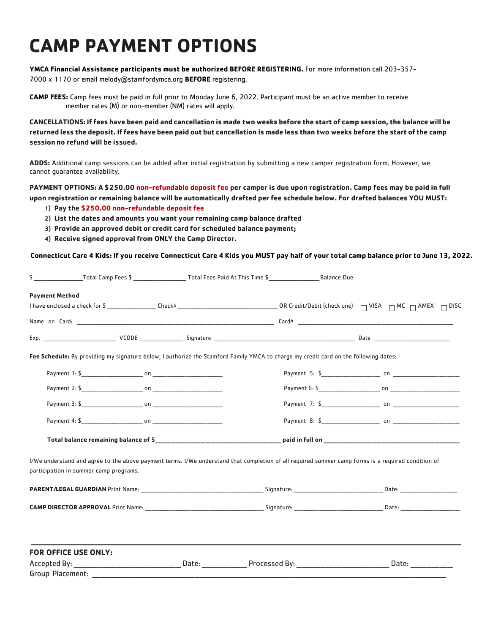# **CAMP PAYMENT OPTIONS**

**YMCA Financial Assistance participants must be authorized BEFORE REGISTERING.** For more information call 203-357- 7000 x 1170 or email melody@stamfordymca.org **BEFORE** registering.

**CAMP FEES:** Camp fees must be paid in full prior to Monday June 6, 2022. Participant must be an active member to receive member rates (M) or non-member (NM) rates will apply.

CANCELLATIONS: If fees have been paid and cancellation is made two weeks before the start of camp session, the balance will be returned less the deposit. If fees have been paid out but cancellation is made less than two weeks before the start of the camp **session no refund will be issued.**

**ADDS:** Additional camp sessions can be added after initial registration by submitting a new camper registration form. However, we cannot guarantee availability.

**PAYMENT OPTIONS: A \$250.00 non-refundable deposit fee per camper is due upon registration. Camp fees may be paid in full** upon registration or remaining balance will be automatically drafted per fee schedule below. For drafted balances YOU MUST:

- **1) Pay the \$250.00 non-refundable deposit fee**
- **2) List the dates and amounts you want your remaining camp balance drafted**
- **3) Provide an approved debit or credit card for scheduled balance payment;**
- **4) Receive signed approval from ONLY the Camp Director.**

Connecticut Care 4 Kids: If you receive Connecticut Care 4 Kids you MUST pay half of your total camp balance prior to June 13, 2022.

| <b>Payment Method</b>                  |                                                                                                                                                    |  |  |
|----------------------------------------|----------------------------------------------------------------------------------------------------------------------------------------------------|--|--|
|                                        |                                                                                                                                                    |  |  |
|                                        |                                                                                                                                                    |  |  |
|                                        |                                                                                                                                                    |  |  |
|                                        | Fee Schedule: By providing my signature below, I authorize the Stamford Family YMCA to charge my credit card on the following dates:               |  |  |
|                                        |                                                                                                                                                    |  |  |
|                                        |                                                                                                                                                    |  |  |
|                                        |                                                                                                                                                    |  |  |
|                                        |                                                                                                                                                    |  |  |
|                                        |                                                                                                                                                    |  |  |
| participation in summer camp programs. | I/We understand and agree to the above payment terms. I/We understand that completion of all required summer camp forms is a required condition of |  |  |
|                                        |                                                                                                                                                    |  |  |
|                                        |                                                                                                                                                    |  |  |
| <b>FOR OFFICE USE ONLY:</b>            |                                                                                                                                                    |  |  |
|                                        |                                                                                                                                                    |  |  |
|                                        |                                                                                                                                                    |  |  |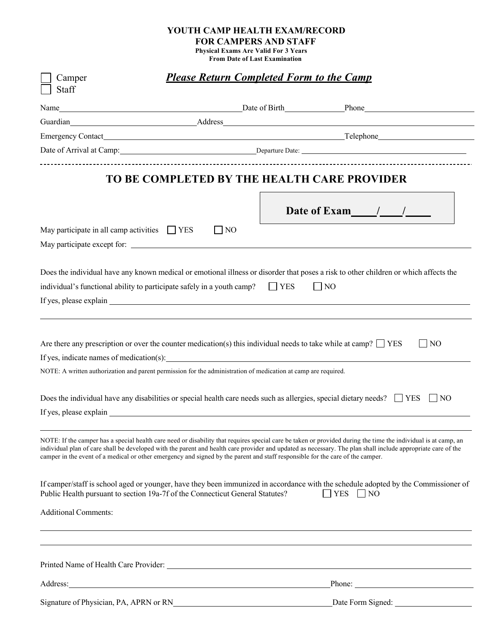# **YOUTH CAMP HEALTH EXAM/RECORD**

**FOR CAMPERS AND STAFF**

**Physical Exams Are Valid For 3 Years From Date of Last Examination**

| Camper                      |                                                                                                                                                                                                                                        | <b>Please Return Completed Form to the Camp</b> |                                                                                                                                                                                                                                                                                                                                |
|-----------------------------|----------------------------------------------------------------------------------------------------------------------------------------------------------------------------------------------------------------------------------------|-------------------------------------------------|--------------------------------------------------------------------------------------------------------------------------------------------------------------------------------------------------------------------------------------------------------------------------------------------------------------------------------|
| Staff                       |                                                                                                                                                                                                                                        |                                                 |                                                                                                                                                                                                                                                                                                                                |
|                             |                                                                                                                                                                                                                                        |                                                 | Name Late of Birth Late of Birth Late of Birth Late of Birth Late of Birth Late 2018<br>Guardian Address Address Address Address Address Address Address Address Address Address Address Address Address Address Address Address Address Address Address Address Address Address Address Address Address Address Addre         |
|                             |                                                                                                                                                                                                                                        |                                                 |                                                                                                                                                                                                                                                                                                                                |
|                             |                                                                                                                                                                                                                                        |                                                 |                                                                                                                                                                                                                                                                                                                                |
|                             |                                                                                                                                                                                                                                        |                                                 |                                                                                                                                                                                                                                                                                                                                |
|                             | TO BE COMPLETED BY THE HEALTH CARE PROVIDER                                                                                                                                                                                            |                                                 |                                                                                                                                                                                                                                                                                                                                |
|                             |                                                                                                                                                                                                                                        |                                                 | Date of Exam $/$ /                                                                                                                                                                                                                                                                                                             |
|                             | May participate in all camp activities $\Box$ YES                                                                                                                                                                                      | $\Box$ NO                                       |                                                                                                                                                                                                                                                                                                                                |
|                             | Does the individual have any known medical or emotional illness or disorder that poses a risk to other children or which affects the<br>individual's functional ability to participate safely in a youth camp?                         | $\Box$ YES                                      | $\vert$   NO                                                                                                                                                                                                                                                                                                                   |
|                             | Are there any prescription or over the counter medication(s) this individual needs to take while at camp? $\Box$ YES<br>NOTE: A written authorization and parent permission for the administration of medication at camp are required. |                                                 | $\overline{1}N$                                                                                                                                                                                                                                                                                                                |
|                             | Does the individual have any disabilities or special health care needs such as allergies, special dietary needs? $\Box$ YES $\Box$ NO                                                                                                  |                                                 |                                                                                                                                                                                                                                                                                                                                |
|                             | camper in the event of a medical or other emergency and signed by the parent and staff responsible for the care of the camper.                                                                                                         |                                                 | NOTE: If the camper has a special health care need or disability that requires special care be taken or provided during the time the individual is at camp, an<br>individual plan of care shall be developed with the parent and health care provider and updated as necessary. The plan shall include appropriate care of the |
|                             | Public Health pursuant to section 19a-7f of the Connecticut General Statutes?                                                                                                                                                          |                                                 | If camper/staff is school aged or younger, have they been immunized in accordance with the schedule adopted by the Commissioner of<br>$YES \Box NO$                                                                                                                                                                            |
| <b>Additional Comments:</b> |                                                                                                                                                                                                                                        |                                                 |                                                                                                                                                                                                                                                                                                                                |
|                             |                                                                                                                                                                                                                                        |                                                 |                                                                                                                                                                                                                                                                                                                                |
| Address:                    | <u> 1980 - Jan Samuel Barbara, martin din shekara ta 1980 - An tsara tsara tsara tsara tsara tsara tsara tsara ts</u>                                                                                                                  |                                                 |                                                                                                                                                                                                                                                                                                                                |
|                             | Signature of Physician, PA, APRN or RN                                                                                                                                                                                                 |                                                 | Date Form Signed:                                                                                                                                                                                                                                                                                                              |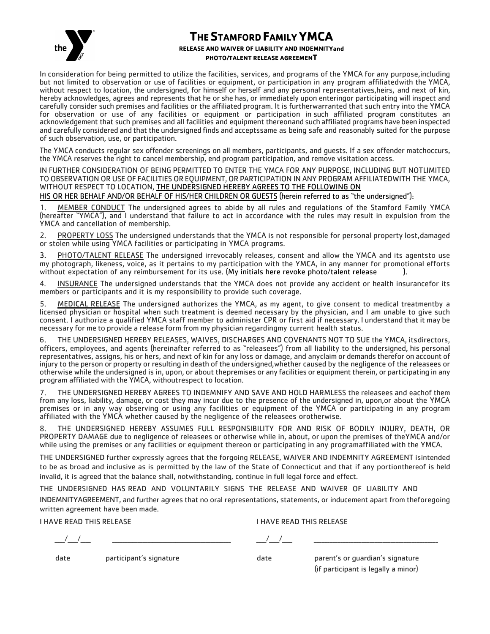

## **THESTAMFORD FAMILY YMCA**

#### **RELEASE AND WAIVER OF LIABILITY AND INDEMNITYand PHOTO/TALENT RELEASE AGREEMENT**

In consideration for being permitted to utilize the facilities, services, and programs of the YMCA for any purpose,including but not limited to observation or use of facilities or equipment, or participation in any program affiliatedwith the YMCA, without respect to location, the undersigned, for himself or herself and any personal representatives,heirs, and next of kin, hereby acknowledges, agrees and represents that he or she has, or immediately upon enteringor participating will inspect and carefully consider such premises and facilities or the affiliated program. It is furtherwarranted that such entry into the YMCA for observation or use of any facilities or equipment or participation in such affiliated program constitutes an acknowledgement that such premises and all facilities and equipment thereonand such affiliated programs have been inspected and carefully considered and that the undersigned finds and acceptssame as being safe and reasonably suited for the purpose of such observation, use, or participation.

The YMCA conducts regular sex offender screenings on all members, participants, and guests. If a sex offender matchoccurs, the YMCA reserves the right to cancel membership, end program participation, and remove visitation access.

IN FURTHER CONSIDERATION OF BEING PERMITTED TO ENTER THE YMCA FOR ANY PURPOSE, INCLUDING BUT NOTLIMITED TOOBSERVATION OR USE OF FACILITIES OR EQUIPMENT,OR PARTICIPATION IN ANY PROGRAM AFFILIATEDWITH THE YMCA, WITHOUT RESPECT TO LOCATION, THE UNDERSIGNED HEREBY AGREES TO THE FOLLOWING ON

HIS OR HER BEHALF AND/OR BEHALF OF HIS/HER CHILDREN OR GUESTS (herein referred to as "the undersigned"):

1. MEMBER CONDUCT The undersigned agrees to abide by all rules and regulations of the Stamford Family YMCA (hereafter "YMCA"), and I understand that failure to act in accordance with the rules may result in expulsion from the YMCA and cancellation of membership.

2. PROPERTY LOSS The undersigned understands that the YMCA is not responsible for personal property lost,damaged or stolen while using YMCA facilities or participating in YMCA programs.

3. PHOTO/TALENT RELEASE The undersigned irrevocably releases, consent and allow the YMCA and its agentsto use my photograph, likeness, voice, as it pertains to my participation with the YMCA, in any manner for promotional efforts without expectation of any reimbursement for its use. (My initials here revoke photo/talent release ).

4. INSURANCE The undersigned understands that the YMCA does not provide any accident or health insurancefor its members or participants and it is my responsibility to provide such coverage.

5. MEDICAL RELEASE The undersigned authorizes the YMCA, as my agent, to give consent to medical treatmentby a licensed physician or hospital when such treatment is deemed necessary by the physician, and I am unable to give such consent. I authorize a qualified YMCA staff member to administer CPR or first aid if necessary. I understand that it may be necessary for me to provide a release form from my physician regardingmy current health status.

6. THE UNDERSIGNED HEREBY RELEASES, WAIVES, DISCHARGES AND COVENANTS NOT TO SUE the YMCA, itsdirectors, officers, employees, and agents (hereinafter referred to as "releasees") from all liability to the undersigned, his personal representatives, assigns, his or hers, and next of kin for any loss or damage, and anyclaim or demands therefor on account of injury to the person or property or resulting in death of the undersigned,whether caused by the negligence of the releasees or otherwise while the undersigned is in, upon, or about thepremises or any facilities or equipmenttherein, or participating in any program affiliated with the YMCA, withoutrespect to location.

7. THE UNDERSIGNED HEREBY AGREES TO INDEMNIFY AND SAVE AND HOLD HARMLESS the releasees and eachof them from any loss, liability, damage, or cost they may incur due to the presence of the undersigned in, upon,or about the YMCA premises or in any way observing or using any facilities or equipment of the YMCA or participating in any program affiliated with the YMCA whether caused by the negligence of the releasees orotherwise.

8. THE UNDERSIGNED HEREBY ASSUMES FULL RESPONSIBILITY FOR AND RISK OF BODILY INJURY, DEATH, OR PROPERTY DAMAGE due to negligence of releasees or otherwise while in, about, or upon the premises of theYMCA and/or while using the premises or any facilities or equipment thereon or participating in any programaffiliated with the YMCA.

THE UNDERSIGNED further expressly agrees that the forgoing RELEASE, WAIVER AND INDEMNITY AGREEMENT isintended to be as broad and inclusive as is permitted by the law of the State of Connecticut and that if any portionthereof is held invalid, it is agreed that the balance shall, notwithstanding, continue in full legal force and effect.

THE UNDERSIGNED HAS READ AND VOLUNTARILY SIGNS THE RELEASE AND WAIVER OF LIABILITY AND INDEMNITYAGREEMENT, and further agrees that no oral representations, statements, or inducement apart from theforegoing

written agreement have been made.

I HAVE READ THIS RELEASE I HAVE READ THIS RELEASE

\_\_\_\_/\_\_\_\_/\_\_\_\_ \_\_\_\_\_\_\_\_\_\_\_\_\_\_\_\_\_\_\_\_\_\_\_\_\_\_\_\_\_\_\_\_\_\_\_\_\_\_\_\_\_\_\_\_\_\_\_ \_\_\_\_/\_\_\_\_/\_\_\_\_ \_\_\_\_\_\_\_\_\_\_\_\_\_\_\_\_\_\_\_\_\_\_\_\_\_\_\_\_\_\_\_\_\_\_\_\_\_\_\_\_\_\_\_\_\_\_\_

date participant's signature date parent's or guardian's signature (if participant is legally a minor)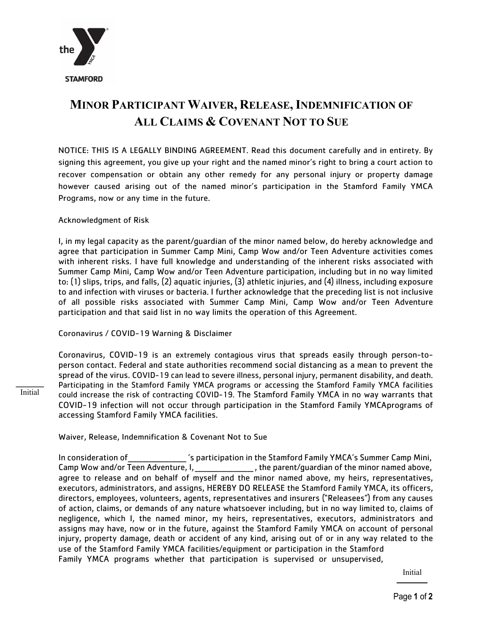

# **MINOR PARTICIPANT WAIVER, RELEASE,INDEMNIFICATION OF ALL CLAIMS & COVENANT NOT TO SUE**

NOTICE: THIS IS A LEGALLY BINDING AGREEMENT. Read this document carefully and in entirety. By signing this agreement, you give up your right and the named minor's right to bring a court action to recover compensation or obtain any other remedy for any personal injury or property damage however caused arising out of the named minor's participation in the Stamford Family YMCA Programs, now or any time in the future.

#### Acknowledgment of Risk

Initial

I, in my legal capacity as the parent/guardian of the minor named below, do hereby acknowledge and agree that participation in Summer Camp Mini, Camp Wow and/or Teen Adventure activities comes with inherent risks. I have full knowledge and understanding of the inherent risks associated with Summer Camp Mini, Camp Wow and/or Teen Adventure participation, including but in no way limited to: (1) slips, trips, and falls, (2) aquatic injuries, (3) athletic injuries, and (4) illness, including exposure to and infection with viruses or bacteria. I further acknowledge that the preceding list is not inclusive of all possible risks associated with Summer Camp Mini, Camp Wow and/or Teen Adventure participation and that said list in no way limits the operation of this Agreement.

Coronavirus / COVID-19 Warning & Disclaimer

Coronavirus, COVID-19 is an extremely contagious virus that spreads easily through person-toperson contact. Federal and state authorities recommend social distancing as a mean to prevent the spread of the virus. COVID-19 can lead to severe illness, personal injury, permanent disability, and death. Participating in the Stamford Family YMCA programs or accessing the Stamford Family YMCA facilities could increase the risk of contracting COVID-19. The Stamford Family YMCA in no way warrants that COVID-19 infection will not occur through participation in the Stamford Family YMCAprograms of accessing Stamford Family YMCA facilities.

Waiver, Release, Indemnification & Covenant Not to Sue

In consideration of\_\_\_\_\_\_\_\_\_\_\_\_\_\_\_\_\_\_\_\_ 's participation in the Stamford Family YMCA's Summer Camp Mini, Camp Wow and/or Teen Adventure, I, example 20 and the minor named above, agree to release and on behalf of myself and the minor named above, my heirs, representatives, executors, administrators, and assigns, HEREBY DO RELEASE the Stamford Family YMCA, its officers, directors, employees, volunteers, agents, representatives and insurers ("Releasees") from any causes of action, claims, or demands of any nature whatsoever including, but in no way limited to, claims of negligence, which I, the named minor, my heirs, representatives, executors, administrators and assigns may have, now or in the future, against the Stamford Family YMCA on account of personal injury, property damage, death or accident of any kind, arising out of or in any way related to the use of the Stamford Family YMCA facilities/equipment or participation in the Stamford Family YMCA programs whether that participation is supervised or unsupervised,

Initial